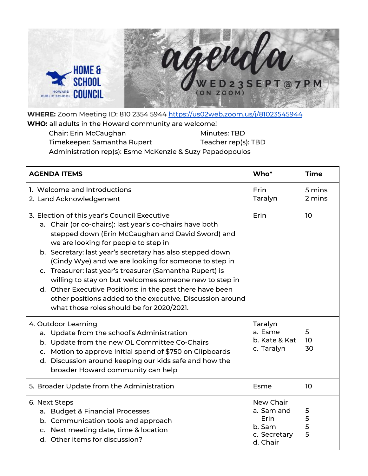

**WHERE:** Zoom Meeting ID: 810 2354 5944 <https://us02web.zoom.us/j/81023545944> **WHO:** all adults in the Howard community are welcome!

| Chair: Erin McCaughan                                    | Minutes: TBD        |
|----------------------------------------------------------|---------------------|
| Timekeeper: Samantha Rupert                              | Teacher rep(s): TBD |
| Administration rep(s): Esme McKenzie & Suzy Papadopoulos |                     |

| <b>AGENDA ITEMS</b>                                                                                                                                                                                                                                                                                                                                                                                                                                                                                                                                                                                                      | Who*                                                                  | <b>Time</b>                |
|--------------------------------------------------------------------------------------------------------------------------------------------------------------------------------------------------------------------------------------------------------------------------------------------------------------------------------------------------------------------------------------------------------------------------------------------------------------------------------------------------------------------------------------------------------------------------------------------------------------------------|-----------------------------------------------------------------------|----------------------------|
| 1. Welcome and Introductions<br>2. Land Acknowledgement                                                                                                                                                                                                                                                                                                                                                                                                                                                                                                                                                                  | Erin<br>Taralyn                                                       | 5 mins<br>2 mins           |
| 3. Election of this year's Council Executive<br>a. Chair (or co-chairs): last year's co-chairs have both<br>stepped down (Erin McCaughan and David Sword) and<br>we are looking for people to step in<br>b. Secretary: last year's secretary has also stepped down<br>(Cindy Wye) and we are looking for someone to step in<br>c. Treasurer: last year's treasurer (Samantha Rupert) is<br>willing to stay on but welcomes someone new to step in<br>d. Other Executive Positions: in the past there have been<br>other positions added to the executive. Discussion around<br>what those roles should be for 2020/2021. | Erin                                                                  | 10 <sup>10</sup>           |
| 4. Outdoor Learning<br>a. Update from the school's Administration<br>b. Update from the new OL Committee Co-Chairs<br>c. Motion to approve initial spend of \$750 on Clipboards<br>d. Discussion around keeping our kids safe and how the<br>broader Howard community can help                                                                                                                                                                                                                                                                                                                                           | Taralyn<br>a. Esme<br>b. Kate & Kat<br>c. Taralyn                     | 5<br>10 <sup>°</sup><br>30 |
| 5. Broader Update from the Administration                                                                                                                                                                                                                                                                                                                                                                                                                                                                                                                                                                                | Esme                                                                  | 10                         |
| 6. Next Steps<br>a. Budget & Financial Processes<br>b. Communication tools and approach<br>c. Next meeting date, time & location<br>d. Other items for discussion?                                                                                                                                                                                                                                                                                                                                                                                                                                                       | New Chair<br>a. Sam and<br>Erin<br>b. Sam<br>c. Secretary<br>d. Chair | 5<br>5<br>5<br>5           |